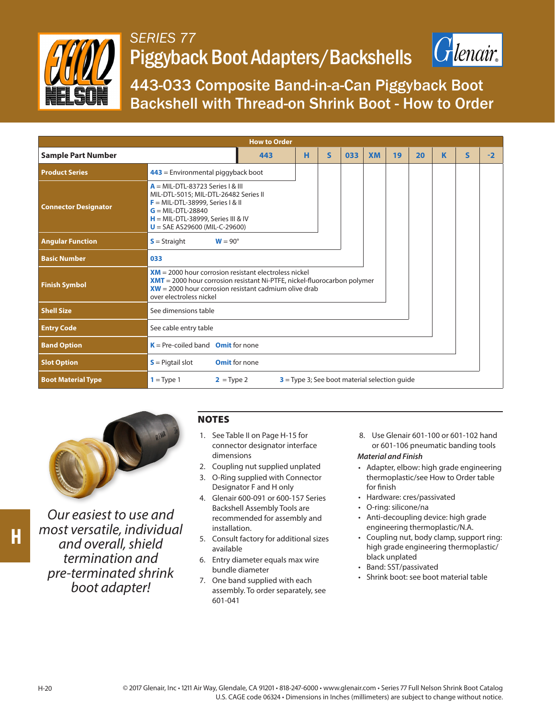

## *SERIES 77* Piggyback Boot Adapters/Backshells



443-033 Composite Band-in-a-Can Piggyback Boot Backshell with Thread-on Shrink Boot - How to Order

| <b>How to Order</b>         |                                                                                                                                                                                                                             |   |              |     |           |    |    |   |   |      |  |
|-----------------------------|-----------------------------------------------------------------------------------------------------------------------------------------------------------------------------------------------------------------------------|---|--------------|-----|-----------|----|----|---|---|------|--|
| <b>Sample Part Number</b>   | 443                                                                                                                                                                                                                         | н | $\mathsf{s}$ | 033 | <b>XM</b> | 19 | 20 | K | S | $-2$ |  |
| <b>Product Series</b>       | $443$ = Environmental piggyback boot                                                                                                                                                                                        |   |              |     |           |    |    |   |   |      |  |
| <b>Connector Designator</b> | $A = MIL-DTL-83723$ Series   & III<br>MIL-DTL-5015; MIL-DTL-26482 Series II<br>$F = MIL-DTL-38999$ , Series I & II<br>$G = MIL-DTL-28840$<br>$H = MIL-DTL-38999$ , Series III & IV<br>$U = SAE A S29600 (MIL-C-29600)$      |   |              |     |           |    |    |   |   |      |  |
| <b>Angular Function</b>     | $S =$ Straight<br>$W = 90^\circ$                                                                                                                                                                                            |   |              |     |           |    |    |   |   |      |  |
| <b>Basic Number</b>         | 033                                                                                                                                                                                                                         |   |              |     |           |    |    |   |   |      |  |
| <b>Finish Symbol</b>        | $XM = 2000$ hour corrosion resistant electroless nickel<br>$XMT = 2000$ hour corrosion resistant Ni-PTFE, nickel-fluorocarbon polymer<br>$XW = 2000$ hour corrosion resistant cadmium olive drab<br>over electroless nickel |   |              |     |           |    |    |   |   |      |  |
| <b>Shell Size</b>           | See dimensions table                                                                                                                                                                                                        |   |              |     |           |    |    |   |   |      |  |
| <b>Entry Code</b>           | See cable entry table                                                                                                                                                                                                       |   |              |     |           |    |    |   |   |      |  |
| <b>Band Option</b>          | $K = Pre-coiled band$ Omit for none                                                                                                                                                                                         |   |              |     |           |    |    |   |   |      |  |
| <b>Slot Option</b>          | $S =$ Pigtail slot<br><b>Omit</b> for none                                                                                                                                                                                  |   |              |     |           |    |    |   |   |      |  |
| <b>Boot Material Type</b>   | $3$ = Type 3; See boot material selection quide<br>$1 = Type 1$<br>$2 = Type 2$                                                                                                                                             |   |              |     |           |    |    |   |   |      |  |



*Our easiest to use and most versatile, individual and overall, shield termination and pre-terminated shrink boot adapter!*

## **NOTES**

- 1. See Table II on Page H-15 for connector designator interface dimensions
- 2. Coupling nut supplied unplated
- 3. O-Ring supplied with Connector Designator F and H only
- 4. Glenair 600-091 or 600-157 Series Backshell Assembly Tools are recommended for assembly and installation.
- 5. Consult factory for additional sizes available
- 6. Entry diameter equals max wire bundle diameter
- 7. One band supplied with each assembly. To order separately, see 601-041

8. Use Glenair 601-100 or 601-102 hand or 601-106 pneumatic banding tools

## *Material and Finish*

- Adapter, elbow: high grade engineering thermoplastic/see How to Order table for finish
- Hardware: cres/passivated
- O-ring: silicone/na
- Anti-decoupling device: high grade engineering thermoplastic/N.A.
- Coupling nut, body clamp, support ring: high grade engineering thermoplastic/ black unplated
- Band: SST/passivated
- Shrink boot: see boot material table

H-20